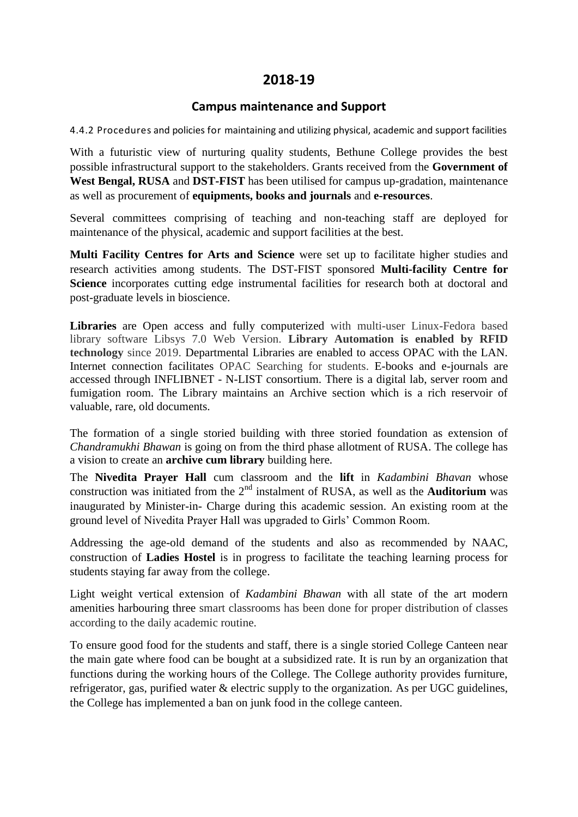## **2018-19**

## **Campus maintenance and Support**

4.4.2 Procedures and policies for maintaining and utilizing physical, academic and support facilities

With a futuristic view of nurturing quality students, Bethune College provides the best possible infrastructural support to the stakeholders. Grants received from the **Government of West Bengal, RUSA** and **DST-FIST** has been utilised for campus up-gradation, maintenance as well as procurement of **equipments, books and journals** and **e-resources**.

Several committees comprising of teaching and non-teaching staff are deployed for maintenance of the physical, academic and support facilities at the best.

**Multi Facility Centres for Arts and Science** were set up to facilitate higher studies and research activities among students. The DST-FIST sponsored **Multi-facility Centre for Science** incorporates cutting edge instrumental facilities for research both at doctoral and post-graduate levels in bioscience.

**Libraries** are Open access and fully computerized with multi-user Linux-Fedora based library software Libsys 7.0 Web Version. **Library Automation is enabled by RFID technology** since 2019. Departmental Libraries are enabled to access OPAC with the LAN. Internet connection facilitates OPAC Searching for students. E-books and e-journals are accessed through INFLIBNET - N-LIST consortium. There is a digital lab, server room and fumigation room. The Library maintains an Archive section which is a rich reservoir of valuable, rare, old documents.

The formation of a single storied building with three storied foundation as extension of *Chandramukhi Bhawan* is going on from the third phase allotment of RUSA. The college has a vision to create an **archive cum library** building here.

The **Nivedita Prayer Hall** cum classroom and the **lift** in *Kadambini Bhavan* whose construction was initiated from the  $2<sup>nd</sup>$  instalment of RUSA, as well as the **Auditorium** was inaugurated by Minister-in- Charge during this academic session. An existing room at the ground level of Nivedita Prayer Hall was upgraded to Girls' Common Room.

Addressing the age-old demand of the students and also as recommended by NAAC, construction of **Ladies Hostel** is in progress to facilitate the teaching learning process for students staying far away from the college.

Light weight vertical extension of *Kadambini Bhawan* with all state of the art modern amenities harbouring three smart classrooms has been done for proper distribution of classes according to the daily academic routine.

To ensure good food for the students and staff, there is a single storied College Canteen near the main gate where food can be bought at a subsidized rate. It is run by an organization that functions during the working hours of the College. The College authority provides furniture, refrigerator, gas, purified water & electric supply to the organization. As per UGC guidelines, the College has implemented a ban on junk food in the college canteen.